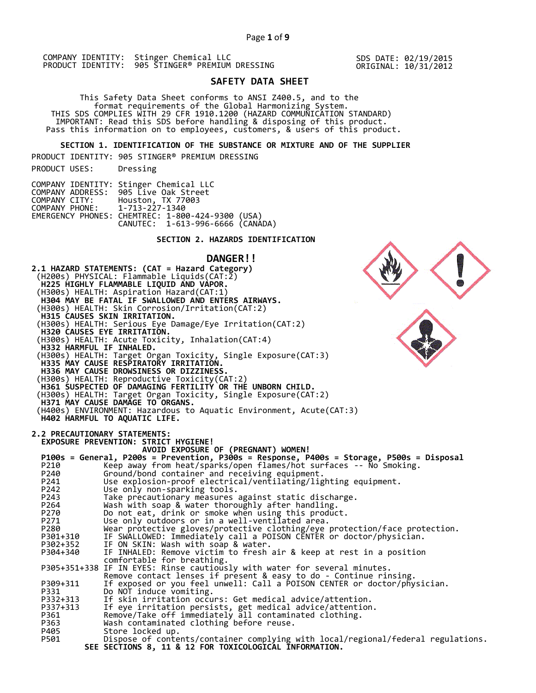SDS DATE: 02/19/2015 ORIGINAL: 10/31/2012

# **SAFETY DATA SHEET**

 This Safety Data Sheet conforms to ANSI Z400.5, and to the format requirements of the Global Harmonizing System. THIS SDS COMPLIES WITH 29 CFR 1910.1200 (HAZARD COMMUNICATION STANDARD) IMPORTANT: Read this SDS before handling & disposing of this product. Pass this information on to employees, customers, & users of this product.

**SECTION 1. IDENTIFICATION OF THE SUBSTANCE OR MIXTURE AND OF THE SUPPLIER** 

PRODUCT IDENTITY: 905 STINGER® PREMIUM DRESSING

PRODUCT USES: Dressing

COMPANY IDENTITY: Stinger Chemical LLC COMPANY ADDRESS: 905 Live Oak Street COMPANY CITY: Houston, TX 77003 COMPANY PHONE: 1-713-227-1340 EMERGENCY PHONES: CHEMTREC: 1-800-424-9300 (USA) CANUTEC: 1-613-996-6666 (CANADA)

# **SECTION 2. HAZARDS IDENTIFICATION**

# **DANGER!!**

**2.1 HAZARD STATEMENTS: (CAT = Hazard Category)** (H200s) PHYSICAL: Flammable Liquids(CAT:2)  **H225 HIGHLY FLAMMABLE LIQUID AND VAPOR.**  (H300s) HEALTH: Aspiration Hazard(CAT:1)  **H304 MAY BE FATAL IF SWALLOWED AND ENTERS AIRWAYS.**  (H300s) HEALTH: Skin Corrosion/Irritation(CAT:2)  **H315 CAUSES SKIN IRRITATION.**  (H300s) HEALTH: Serious Eye Damage/Eye Irritation(CAT:2)  **H320 CAUSES EYE IRRITATION.**  (H300s) HEALTH: Acute Toxicity, Inhalation(CAT:4)  **H332 HARMFUL IF INHALED.**  (H300s) HEALTH: Target Organ Toxicity, Single Exposure(CAT:3)  **H335 MAY CAUSE RESPIRATORY IRRITATION. H336 MAY CAUSE DROWSINESS OR DIZZINESS.**  (H300s) HEALTH: Reproductive Toxicity(CAT:2)  **H361 SUSPECTED OF DAMAGING FERTILITY OR THE UNBORN CHILD.**  (H300s) HEALTH: Target Organ Toxicity, Single Exposure(CAT:2)  **H371 MAY CAUSE DAMAGE TO ORGANS.**  (H400s) ENVIRONMENT: Hazardous to Aquatic Environment, Acute(CAT:3)  **H402 HARMFUL TO AQUATIC LIFE. 2.2 PRECAUTIONARY STATEMENTS: EXPOSURE PREVENTION: STRICT HYGIENE! AVOID EXPOSURE OF (PREGNANT) WOMEN! P100s = General, P200s = Prevention, P300s = Response, P400s = Storage, P500s = Disposal**  P210 Keep away from heat/sparks/open flames/hot surfaces -- No Smoking. P240 Ground/bond container and receiving equipment. P241 Use explosion-proof electrical/ventilating/lighting equipment. P242 Use only non-sparking tools. P243 Take precautionary measures against static discharge.<br>P264 Wash with soap & water thoroughly after handling. P264 Wash with soap & water thoroughly after handling. P270 Do not eat, drink or smoke when using this product. P271 Use only outdoors or in a well-ventilated area. P280 Wear protective gloves/protective clothing/eye protection/face protection. P301+310 IF SWALLOWED: Immediately call a POISON CENTER or doctor/physician. P302+352 IF ON SKIN: Wash with soap & water. P304+340 IF INHALED: Remove victim to fresh air & keep at rest in a position comfortable for breathing. P305+351+338 IF IN EYES: Rinse cautiously with water for several minutes. Remove contact lenses if present & easy to do - Continue rinsing. P309+311 If exposed or you feel unwell: Call a POISON CENTER or doctor/physician. P331 Do NOT induce vomiting. P332+313 If skin irritation occurs: Get medical advice/attention. P337+313 If eye irritation persists, get medical advice/attention. P361 Remove/Take off immediately all contaminated clothing. P361 Remove/Take off immediately all contamin<br>P363 Wash contaminated clothing before reuse.<br>P405 Store locked up. P405 Store locked up.<br>P501 Dispose of conte Dispose of contents/container complying with local/regional/federal regulations.  **SEE SECTIONS 8, 11 & 12 FOR TOXICOLOGICAL INFORMATION.** 

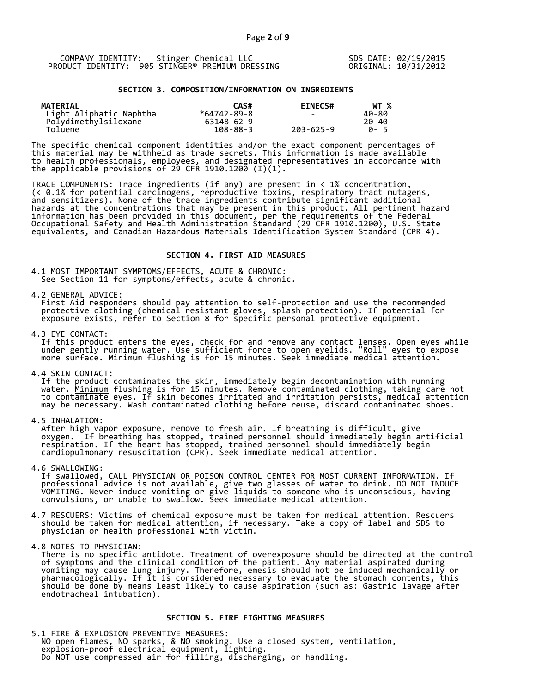SDS DATE: 02/19/2015 ORIGINAL: 10/31/2012

# **SECTION 3. COMPOSITION/INFORMATION ON INGREDIENTS**

| <b>MATERIAL</b>         | CAS#           | <b>EINECS#</b> | WT %        |
|-------------------------|----------------|----------------|-------------|
| Light Aliphatic Naphtha | *64742-89-8    |                | 40-80       |
| Polydimethylsiloxane    | 63148-62-9     |                | 20-40       |
| Toluene                 | $108 - 88 - 3$ | 203-625-9      | <b>A</b> -5 |

The specific chemical component identities and/or the exact component percentages of this material may be withheld as trade secrets. This information is made available to health professionals, employees, and designated representatives in accordance with the applicable provisions of 29 CFR 1910.1200̄ (I)(1).  $\overline{\phantom{a}}$ 

TRACE COMPONENTS: Trace ingredients (if any) are present in < 1% concentration, (< 0.1% for potential carcinogens, reproductive toxins, respiratory tract mutagens, and sensitizers). None of the trace ingredients contribute significant additional hazards at the concentrations that may be present in this product. All pertinent hazard information has been provided in this document, per the requirements of the Federal Occupational Safety and Health Administration Standard (29 CFR 1910.1200), U.S. State equivalents, and Canadian Hazardous Materials Identification System Standard (CPR 4).

#### **SECTION 4. FIRST AID MEASURES**

4.1 MOST IMPORTANT SYMPTOMS/EFFECTS, ACUTE & CHRONIC: See Section 11 for symptoms/effects, acute & chronic.

4.2 GENERAL ADVICE:

 First Aid responders should pay attention to self-protection and use the recommended protective clothing (chemical resistant gloves, splash protection). If potential for exposure exists, refer to Section 8 for specific personal protective equipment.

4.3 EYE CONTACT:

 If this product enters the eyes, check for and remove any contact lenses. Open eyes while under gently running water. Use sufficient force to open eyelids. "Roll" eyes to expose more surface. <u>Minimum</u> flushing is for 15 minutes. Seek immediate medical attention.

4.4 SKIN CONTACT:

 If the product contaminates the skin, immediately begin decontamination with running water. <u>Minimum</u> flushing is for 15 minutes. Remove contaminated clothing, taking care not to contaminate eyes. If skin becomes irritated and irritation persists, medical attention may be necessary. Wash contaminated clothing before reuse, discard contaminated shoes.

4.5 INHALATION:

 After high vapor exposure, remove to fresh air. If breathing is difficult, give oxygen. If breathing has stopped, trained personnel should immediately begin artificial respiration. If the heart has stopped, trained personnel should immediately begin cardiopulmonary resuscitation (CPR). Seek immediate medical attention.

4.6 SWALLOWING:

 If swallowed, CALL PHYSICIAN OR POISON CONTROL CENTER FOR MOST CURRENT INFORMATION. If professional advice is not available, give two glasses of water to drink. DO NOT INDUCE VOMITING. Never induce vomiting or give liquids to someone who is unconscious, having convulsions, or unable to swallow. Seek immediate medical attention.

4.7 RESCUERS: Victims of chemical exposure must be taken for medical attention. Rescuers should be taken for medical attention, if necessary. Take a copy of label and SDS to physician or health professional with victim.

4.8 NOTES TO PHYSICIAN:

 There is no specific antidote. Treatment of overexposure should be directed at the control of symptoms and the clinical condition of the patient. Any material aspirated during vomiting may cause lung injury. Therefore, emesis should not be induced mechanically or pharmacologically. If it is considered necessary to evacuate the stomach contents, this should be done by means least likely to cause aspiration (such as: Gastric lavage after endotracheal intubation).

# **SECTION 5. FIRE FIGHTING MEASURES**

5.1 FIRE & EXPLOSION PREVENTIVE MEASURES: NO open flames, NO sparks, & NO smoking. Use a closed system, ventilation, explosion-proof electrical equipment, lighting. Do NOT use compressed air for filling, discharging, or handling.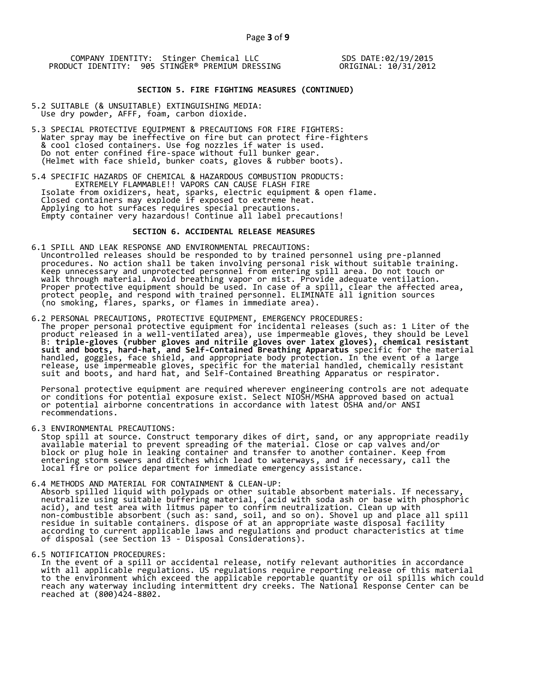SDS DATE:02/19/2015 ORIGINAL: 10/31/2012

# **SECTION 5. FIRE FIGHTING MEASURES (CONTINUED)**

- 5.2 SUITABLE (& UNSUITABLE) EXTINGUISHING MEDIA: Use dry powder, AFFF, foam, carbon dioxide.
- 5.3 SPECIAL PROTECTIVE EQUIPMENT & PRECAUTIONS FOR FIRE FIGHTERS: Water spray may be ineffective on fire but can protect fire-fighters & cool closed containers. Use fog nozzles if water is used. Do not enter confined fire-space without full bunker gear. (Helmet with face shield, bunker coats, gloves & rubber boots).
- 5.4 SPECIFIC HAZARDS OF CHEMICAL & HAZARDOUS COMBUSTION PRODUCTS: EXTREMELY FLAMMABLE!! VAPORS CAN CAUSE FLASH FIRE Isolate from oxidizers, heat, sparks, electric equipment & open flame. Closed containers may explode if exposed to extreme heat. Applying to hot surfaces requires special precautions. Empty container very hazardous! Continue all label precautions!

# **SECTION 6. ACCIDENTAL RELEASE MEASURES**

- 6.1 SPILL AND LEAK RESPONSE AND ENVIRONMENTAL PRECAUTIONS: Uncontrolled releases should be responded to by trained personnel using pre-planned procedures. No action shall be taken involving personal risk without suitable training. Keep unnecessary and unprotected personnel from entering spill area. Do not touch or walk through material. Avoid breathing vapor or mist. Provide adequate ventilation. Proper protective equipment should be used. In case of a spill, clear the affected area, protect people, and respond with trained personnel. ELIMINATE all ignition sources (no smoking, flares, sparks, or flames in immediate area).
- 6.2 PERSONAL PRECAUTIONS, PROTECTIVE EQUIPMENT, EMERGENCY PROCEDURES: The proper personal protective equipment for incidental releases (such as: 1 Liter of the product released in a well-ventilated area), use impermeable gloves, they should be Level B: **triple-gloves (rubber gloves and nitrile gloves over latex gloves), chemical resistant suit and boots, hard-hat, and Self-Contained Breathing Apparatus** specific for the material handled, goggles, face shield, and appropriate body protection. In the event of a large release, use impermeable gloves, specific for the material handled, chemically resistant suit and boots, and hard hat, and Self-Contained Breathing Apparatus or respirator.

 Personal protective equipment are required wherever engineering controls are not adequate or conditions for potential exposure exist. Select NIOSH/MSHA approved based on actual or potential airborne concentrations in accordance with latest OSHA and/or ANSI recommendations.

6.3 ENVIRONMENTAL PRECAUTIONS:

 Stop spill at source. Construct temporary dikes of dirt, sand, or any appropriate readily available material to prevent spreading of the material. Close or cap valves and/or block or plug hole in leaking container and transfer to another container. Keep from entering storm sewers and ditches which lead to waterways, and if necessary, call the local fire or police department for immediate emergency assistance.

- 6.4 METHODS AND MATERIAL FOR CONTAINMENT & CLEAN-UP: Absorb spilled liquid with polypads or other suitable absorbent materials. If necessary, neutralize using suitable buffering material, (acid with soda ash or base with phosphoric acid), and test area with litmus paper to confirm neutralization. Clean up with non-combustible absorbent (such as: sand, soil, and so on). Shovel up and place all spill residue in suitable containers. dispose of at an appropriate waste disposal facility according to current applicable laws and regulations and product characteristics at time of disposal (see Section 13 - Disposal Considerations).
- 6.5 NOTIFICATION PROCEDURES:

 In the event of a spill or accidental release, notify relevant authorities in accordance with all applicable regulations. US regulations require reporting release of this material to the environment which exceed the applicable reportable quantity or oil spills which could reach any waterway including intermittent dry creeks. The National Response Center can be reached at (800)424-8802.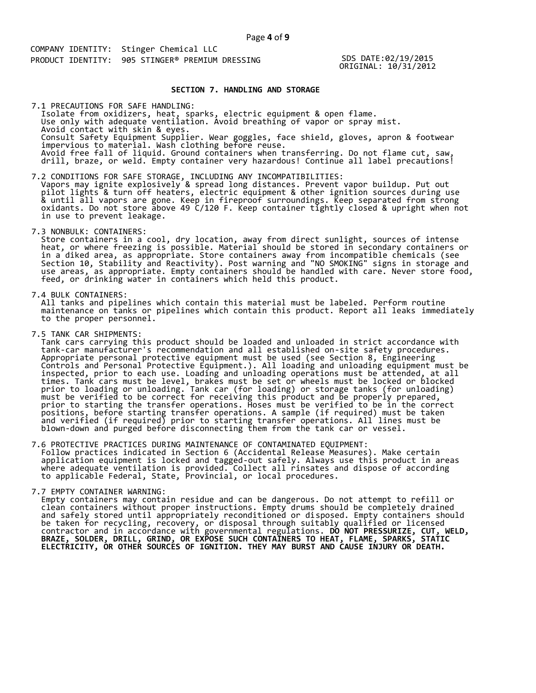SDS DATE:02/19/2015 ORIGINAL: 10/31/2012

# **SECTION 7. HANDLING AND STORAGE**

 Isolate from oxidizers, heat, sparks, electric equipment & open flame. Use only with adequate ventilation. Avoid breathing of vapor or spray mist. Avoid contact with skin & eyes. Consult Safety Equipment Supplier. Wear goggles, face shield, gloves, apron & footwear impervious to material. Wash clothing before reuse. Avoid free fall of liquid. Ground containers when transferring. Do not flame cut, saw, drill, braze, or weld. Empty container very hazardous! Continue all label precautions! 7.1 PRECAUTIONS FOR SAFE HANDLING:

7.2 CONDITIONS FOR SAFE STORAGE, INCLUDING ANY INCOMPATIBILITIES: Vapors may ignite explosively & spread long distances. Prevent vapor buildup. Put out pilot lights & turn off heaters, electric equipment & other ignition sources during use & until all vapors are gone. Keep in fireproof surroundings. Keep separated from strong oxidants. Do not store above 49 C/120 F. Keep container tightly closed & upright when not in use to prevent leakage.

7.3 NONBULK: CONTAINERS:

 Store containers in a cool, dry location, away from direct sunlight, sources of intense heat, or where freezing is possible. Material should be stored in secondary containers or in a diked area, as appropriate. Store containers away from incompatible chemicals (see Section 10, Stability and Reactivity). Post warning and "NO SMOKING" signs in storage and use areas, as appropriate. Empty containers should be handled with care. Never store food, feed, or drinking water in containers which held this product.

7.4 BULK CONTAINERS:

 All tanks and pipelines which contain this material must be labeled. Perform routine maintenance on tanks or pipelines which contain this product. Report all leaks immediately to the proper personnel.

7.5 TANK CAR SHIPMENTS:

 Tank cars carrying this product should be loaded and unloaded in strict accordance with tank-car manufacturer's recommendation and all established on-site safety procedures. Appropriate personal protective equipment must be used (see Section 8, Engineering Controls and Personal Protective Equipment.). All loading and unloading equipment must be inspected, prior to each use. Loading and unloading operations must be attended, at all times. Tank cars must be level, brakes must be set or wheels must be locked or blocked prior to loading or unloading. Tank car (for loading) or storage tanks (for unloading) must be verified to be correct for receiving this product and be properly prepared, prior to starting the transfer operations. Hoses must be verified to be in the correct positions, before starting transfer operations. A sample (if required) must be taken and verified (if required) prior to starting transfer operations. All lines must be blown-down and purged before disconnecting them from the tank car or vessel.

7.6 PROTECTIVE PRACTICES DURING MAINTENANCE OF CONTAMINATED EQUIPMENT: Follow practices indicated in Section 6 (Accidental Release Measures). Make certain application equipment is locked and tagged-out safely. Always use this product in areas where adequate ventilation is provided. Collect all rinsates and dispose of according to applicable Federal, State, Provincial, or local procedures.

7.7 EMPTY CONTAINER WARNING:

 Empty containers may contain residue and can be dangerous. Do not attempt to refill or clean containers without proper instructions. Empty drums should be completely drained and safely stored until appropriately reconditioned or disposed. Empty containers should be taken for recycling, recovery, or disposal through suitably qualified or licensed contractor and in accordance with governmental regulations. **DO NOT PRESSURIZE, CUT, WELD, BRAZE, SOLDER, DRILL, GRIND, OR EXPOSE SUCH CONTAINERS TO HEAT, FLAME, SPARKS, STATIC ELECTRICITY, OR OTHER SOURCES OF IGNITION. THEY MAY BURST AND CAUSE INJURY OR DEATH.**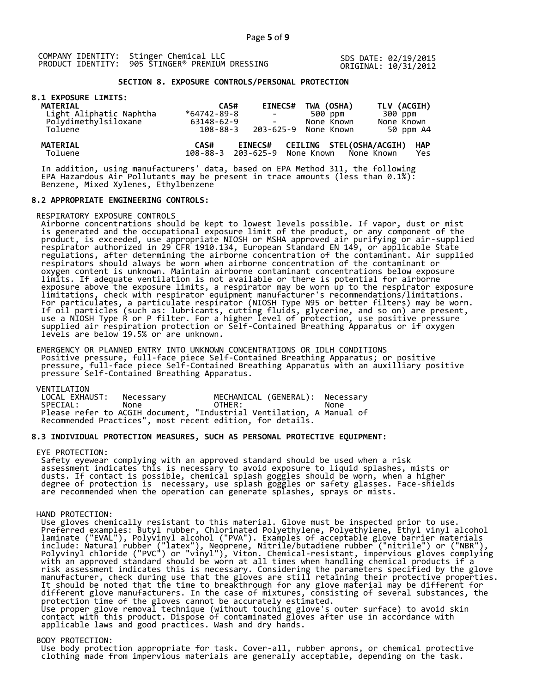SDS DATE: 02/19/2015 ORIGINAL: 10/31/2012

# **SECTION 8. EXPOSURE CONTROLS/PERSONAL PROTECTION**

# **8.1 EXPOSURE LIMITS:**

| <b>MATERIAL</b>            | CAS#              | <b>EINECS#</b>                                  | TWA (OSHA)                      | TLV (ACGIH)                     |
|----------------------------|-------------------|-------------------------------------------------|---------------------------------|---------------------------------|
| Light Aliphatic Naphtha    | $*64742 - 89 - 8$ |                                                 | 500 ppm                         | 300 ppm                         |
| Polydimethylsiloxane       | 63148-62-9        |                                                 | None Known                      | None Known                      |
| Toluene                    | $108 - 88 - 3$    | 203-625-9                                       | None Known                      | 50 ppm A4                       |
| <b>MATERIAL</b><br>Toluene | CAS#              | <b>EINECS#</b><br>108-88-3 203-625-9 None Known | <b>CEILING STEL(OSHA/ACGIH)</b> | <b>HAP</b><br>None Known<br>Yes |

 In addition, using manufacturers' data, based on EPA Method 311, the following EPA Hazardous Air Pollutants may be present in trace amounts (less than 0.1%): Benzene, Mixed Xylenes, Ethylbenzene

#### **8.2 APPROPRIATE ENGINEERING CONTROLS:**

# RESPIRATORY EXPOSURE CONTROLS

 Airborne concentrations should be kept to lowest levels possible. If vapor, dust or mist is generated and the occupational exposure limit of the product, or any component of the product, is exceeded, use appropriate NIOSH or MSHA approved air purifying or air-supplied respirator authorized in 29 CFR 1910.134, European Standard EN 149, or applicable State regulations, after determining the airborne concentration of the contaminant. Air supplied respirators should always be worn when airborne concentration of the contaminant or oxygen content is unknown. Maintain airborne contaminant concentrations below exposure limits. If adequate ventilation is not available or there is potential for airborne exposure above the exposure limits, a respirator may be worn up to the respirator exposure limitations, check with respirator equipment manufacturer's recommendations/limitations. For particulates, a particulate respirator (NIOSH Type N95 or better filters) may be worn. If oil particles (such as: lubricants, cutting fluids, glycerine, and so on) are present, use a NIOSH Type R or P filter. For a higher level of protection, use positive pressure supplied air respiration protection or Self-Contained Breathing Apparatus or if oxygen levels are below 19.5% or are unknown.

 EMERGENCY OR PLANNED ENTRY INTO UNKNOWN CONCENTRATIONS OR IDLH CONDITIONS Positive pressure, full-face piece Self-Contained Breathing Apparatus; or positive pressure, full-face piece Self-Contained Breathing Apparatus with an auxilliary positive pressure Self-Contained Breathing Apparatus.

VENTILATION<br>LOCAL EXHAUST: Necessary MECHANICAL (GENERAL): Necessary SPECIAL: None OTHER: None Please refer to ACGIH document, "Industrial Ventilation, A Manual of Recommended Practices", most recent edition, for details.

# **8.3 INDIVIDUAL PROTECTION MEASURES, SUCH AS PERSONAL PROTECTIVE EQUIPMENT:**

#### EYE PROTECTION:

 Safety eyewear complying with an approved standard should be used when a risk assessment indicates this is necessary to avoid exposure to liquid splashes, mists or dusts. If contact is possible, chemical splash goggles should be worn, when a higher degree of protection is necessary, use splash goggles or safety glasses. Face-shields are recommended when the operation can generate splashes, sprays or mists.

#### HAND PROTECTION:

 Use gloves chemically resistant to this material. Glove must be inspected prior to use. Preferred examples: Butyl rubber, Chlorinated Polyethylene, Polyethylene, Ethyl vinyl alcohol laminate ("EVAL"), Polyvinyl alcohol ("PVA"). Examples of acceptable glove barrier materials include: Natural rubber ("latex"), Neoprene, Nitrile/butadiene rubber ("nitrile") or ("NBR"), Polyvinyl chloride ("PVC") or "vinyl"), Viton. Chemical-resistant, impervious gloves complying with an approved standard should be worn at all times when handling chemical products if a risk assessment indicates this is necessary. Considering the parameters specified by the glove manufacturer, check during use that the gloves are still retaining their protective properties. It should be noted that the time to breakthrough for any glove material may be different for different glove manufacturers. In the case of mixtures, consisting of several substances, the protection time of the gloves cannot be accurately estimated. Use proper glove removal technique (without touching glove's outer surface) to avoid skin contact with this product. Dispose of contaminated gloves after use in accordance with applicable laws and good practices. Wash and dry hands.

#### BODY PROTECTION:

 Use body protection appropriate for task. Cover-all, rubber aprons, or chemical protective clothing made from impervious materials are generally acceptable, depending on the task.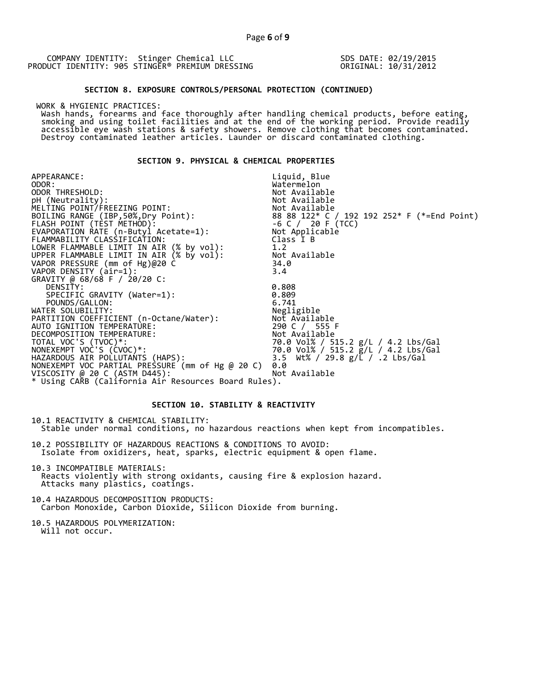SDS DATE: 02/19/2015 ORIGINAL: 10/31/2012

#### **SECTION 8. EXPOSURE CONTROLS/PERSONAL PROTECTION (CONTINUED)**

WORK & HYGIENIC PRACTICES:

 Wash hands, forearms and face thoroughly after handling chemical products, before eating, smoking and using toilet facilities and at the end of the working period. Provide readily accessible eye wash stations & safety showers. Remove clothing that becomes contaminated. Destroy contaminated leather articles. Launder or discard contaminated clothing.

# **SECTION 9. PHYSICAL & CHEMICAL PROPERTIES**

APPEARANCE: ODOR:<br>ODOR THRESHOLD: Liquid, Blue Watermelon<br>Not Available ODOR THRESHOLD: Not Available pH (Neutrality): Not Available is a set of  $\mathbb N$ MELTING POINT/FREEZING POINT: Not Available  $8888122* C / 192192252* F (*=End Point)  
-6 C / 20 F (TCC)$ FLASH POINT (TEST METHOD): -6 C / 20 F (TCC) EVAPORATION RATE (n-Butyl Acetate=1): Not Applicable FLAMMABILITY CLASSIFICATION: Class I B LOWER FLAMMABLE LIMIT IN AIR (% by vol): 1.2 UPPER FLAMMABLE LIMIT IN AIR (% by vol): Not Available VAPOR PRESSURE (mm of Hg)@20 C 34.0 VAPOR DENSITY (air=1): 3.4 GRAVITY @ 68/68 F / 20/20 C: DENSITY: 0.808 SPECIFIC GRAVITY (Water=1): 0.809 POUNDS/GALLON: 6.741 WATER SOLUBILITY: Negligible PARTITION COEFFICIENT (n-Octane/Water): Not Available AUTO IGNITION TEMPERATURE: 290 C / 555 F DECOMPOSITION TEMPERATURE: Not Available TOTAL VOC'S (TVOC)\*: 70.0 Vol% / 515.2 g/L / 4.2 Lbs/Gal NONEXEMPT VOC'S (CVOC)\*: 70.0 Vol% / 515.2 g/L / 4.2 Lbs/Gal HAZARDOUS AIR POLLUTANTS (HAPS): 3.5 Wt% / 29.8 g/L / .2 Lbs/Gal NONEXEMPT VOC PARTIAL PRESSURE (mm of Hg @ 20 C) 0.0 VISCOSITY @ 20 C (ASTM D445): Not Available \* Using CARB (California Air Resources Board Rules).

# **SECTION 10. STABILITY & REACTIVITY**

10.1 REACTIVITY & CHEMICAL STABILITY: Stable under normal conditions, no hazardous reactions when kept from incompatibles.

10.2 POSSIBILITY OF HAZARDOUS REACTIONS & CONDITIONS TO AVOID: Isolate from oxidizers, heat, sparks, electric equipment & open flame.

10.3 INCOMPATIBLE MATERIALS: Reacts violently with strong oxidants, causing fire & explosion hazard. Attacks many plastics, coatings.

10.4 HAZARDOUS DECOMPOSITION PRODUCTS: Carbon Monoxide, Carbon Dioxide, Silicon Dioxide from burning.

10.5 HAZARDOUS POLYMERIZATION: Will not occur.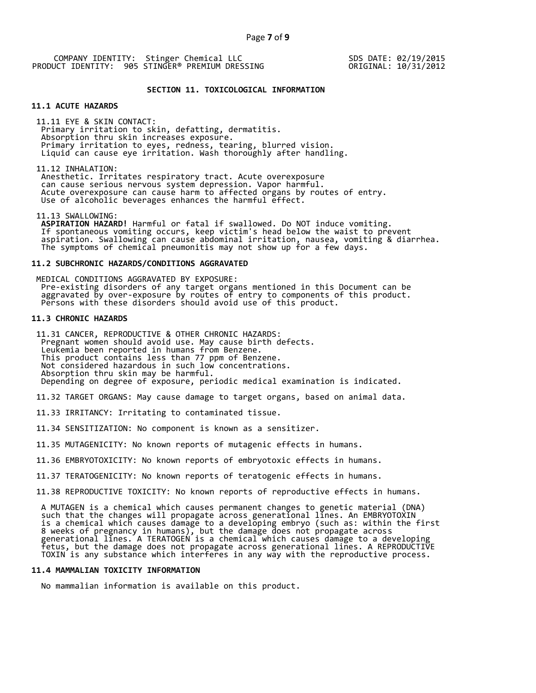SDS DATE: 02/19/2015 ORIGINAL: 10/31/2012

#### **SECTION 11. TOXICOLOGICAL INFORMATION**

# **11.1 ACUTE HAZARDS**

 11.11 EYE & SKIN CONTACT: Primary irritation to skin, defatting, dermatitis. Absorption thru skin increases exposure. Primary irritation to eyes, redness, tearing, blurred vision. Liquid can cause eye irritation. Wash thoroughly after handling.

11.12 INHALATION:

 Anesthetic. Irritates respiratory tract. Acute overexposure can cause serious nervous system depression. Vapor harmful. Acute overexposure can cause harm to affected organs by routes of entry. Use of alcoholic beverages enhances the harmful effect.

11.13 SWALLOWING:

 **ASPIRATION HAZARD!** Harmful or fatal if swallowed. Do NOT induce vomiting. If spontaneous vomiting occurs, keep victim's head below the waist to prevent aspiration. Swallowing can cause abdominal irritation, nausea, vomiting & diarrhea. The symptoms of chemical pneumonitis may not show up for a few days.

# **11.2 SUBCHRONIC HAZARDS/CONDITIONS AGGRAVATED**

 MEDICAL CONDITIONS AGGRAVATED BY EXPOSURE: Pre-existing disorders of any target organs mentioned in this Document can be aggravated by over-exposure by routes of entry to components of this product. Persons with these disorders should avoid use of this product.

# **11.3 CHRONIC HAZARDS**

 11.31 CANCER, REPRODUCTIVE & OTHER CHRONIC HAZARDS: Pregnant women should avoid use. May cause birth defects. Leukemia been reported in humans from Benzene. This product contains less than 77 ppm of Benzene. Not considered hazardous in such low concentrations. Absorption thru skin may be harmful. Depending on degree of exposure, periodic medical examination is indicated.

11.32 TARGET ORGANS: May cause damage to target organs, based on animal data.

11.33 IRRITANCY: Irritating to contaminated tissue.

11.34 SENSITIZATION: No component is known as a sensitizer.

11.35 MUTAGENICITY: No known reports of mutagenic effects in humans.

11.36 EMBRYOTOXICITY: No known reports of embryotoxic effects in humans.

11.37 TERATOGENICITY: No known reports of teratogenic effects in humans.

11.38 REPRODUCTIVE TOXICITY: No known reports of reproductive effects in humans.

 A MUTAGEN is a chemical which causes permanent changes to genetic material (DNA) such that the changes will propagate across generational lines. An EMBRYOTOXIN is a chemical which causes damage to a developing embryo (such as: within the first 8 weeks of pregnancy in humans), but the damage does not propagate across generational lines. A TERATOGEN is a chemical which causes damage to a developing fetus, but the damage does not propagate across generational lines. A REPRODUCTIVE TOXIN is any substance which interferes in any way with the reproductive process.

#### **11.4 MAMMALIAN TOXICITY INFORMATION**

No mammalian information is available on this product.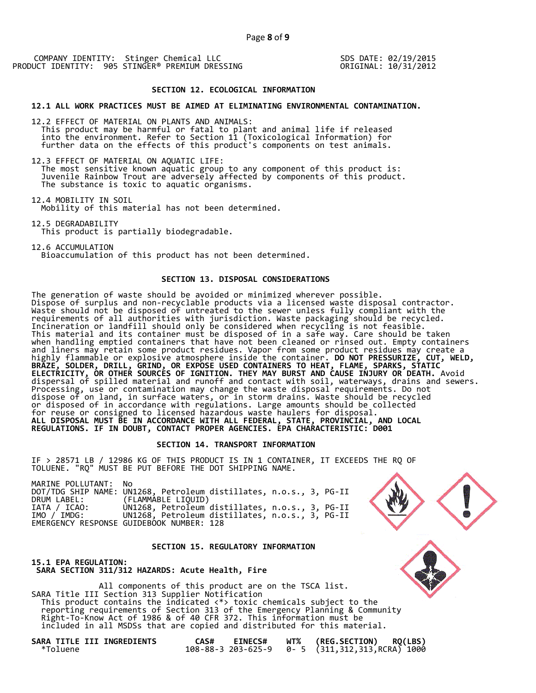SDS DATE: 02/19/2015 ORIGINAL: 10/31/2012

#### **SECTION 12. ECOLOGICAL INFORMATION**

# **12.1 ALL WORK PRACTICES MUST BE AIMED AT ELIMINATING ENVIRONMENTAL CONTAMINATION.**

12.2 EFFECT OF MATERIAL ON PLANTS AND ANIMALS: This product may be harmful or fatal to plant and animal life if released into the environment. Refer to Section 11 (Toxicological Information) for further data on the effects of this product's components on test animals.

12.3 EFFECT OF MATERIAL ON AQUATIC LIFE: The most sensitive known aquatic group to any component of this product is: Juvenile Rainbow Trout are adversely affected by components of this product. The substance is toxic to aquatic organisms.

12.4 MOBILITY IN SOIL Mobility of this material has not been determined.

12.5 DEGRADABILITY This product is partially biodegradable.

12.6 ACCUMULATION Bioaccumulation of this product has not been determined.

# **SECTION 13. DISPOSAL CONSIDERATIONS**

The generation of waste should be avoided or minimized wherever possible. Dispose of surplus and non-recyclable products via a licensed waste disposal contractor. Waste should not be disposed of untreated to the sewer unless fully compliant with the requirements of all authorities with jurisdiction. Waste packaging should be recycled. Incineration or landfill should only be considered when recycling is not feasible. This material and its container must be disposed of in a safe way. Care should be taken when handling emptied containers that have not been cleaned or rinsed out. Empty containers and liners may retain some product residues. Vapor from some product residues may create a highly flammable or explosive atmosphere inside the container. **DO NOT PRESSURIZE, CUT, WELD, BRAZE, SOLDER, DRILL, GRIND, OR EXPOSE USED CONTAINERS TO HEAT, FLAME, SPARKS, STATIC ELECTRICITY, OR OTHER SOURCES OF IGNITION. THEY MAY BURST AND CAUSE INJURY OR DEATH.** Avoid dispersal of spilled material and runoff and contact with soil, waterways, drains and sewers. Processing, use or contamination may change the waste disposal requirements. Do not dispose of on land, in surface waters, or in storm drains. Waste should be recycled or disposed of in accordance with regulations. Large amounts should be collected for reuse or consigned to licensed hazardous waste haulers for disposal. **ALL DISPOSAL MUST BE IN ACCORDANCE WITH ALL FEDERAL, STATE, PROVINCIAL, AND LOCAL REGULATIONS. IF IN DOUBT, CONTACT PROPER AGENCIES. EPA CHARACTERISTIC: D001** 

# **SECTION 14. TRANSPORT INFORMATION**

IF > 28571 LB / 12986 KG OF THIS PRODUCT IS IN 1 CONTAINER, IT EXCEEDS THE RQ OF TOLUENE. "RQ" MUST BE PUT BEFORE THE DOT SHIPPING NAME.

| MARINE POLLUTANT: No |                                                                    |
|----------------------|--------------------------------------------------------------------|
|                      | DOT/TDG SHIP NAME: UN1268, Petroleum distillates, n.o.s., 3, PG-II |
| DRUM LABEL:          | (FLAMMABLE LIQUID)                                                 |
| IATA / ICAO:         | UN1268, Petroleum distillates, n.o.s., 3, PG-II                    |
| IMO / IMDG:          | UN1268, Petroleum distillates, n.o.s., 3, PG-II                    |
|                      | EMERGENCY RESPONSE GUIDEBOOK NUMBER: 128                           |

#### **SECTION 15. REGULATORY INFORMATION**

**15.1 EPA REGULATION: SARA SECTION 311/312 HAZARDS: Acute Health, Fire** 

 All components of this product are on the TSCA list. SARA Title III Section 313 Supplier Notification This product contains the indicated <\*> toxic chemicals subject to the reporting requirements of Section 313 of the Emergency Planning & Community Right-To-Know Act of 1986 & of 40 CFR 372. This information must be included in all MSDSs that are copied and distributed for this material.

| SARA TITLE III INGREDIENTS |  |  |
|----------------------------|--|--|
| *Toluene                   |  |  |